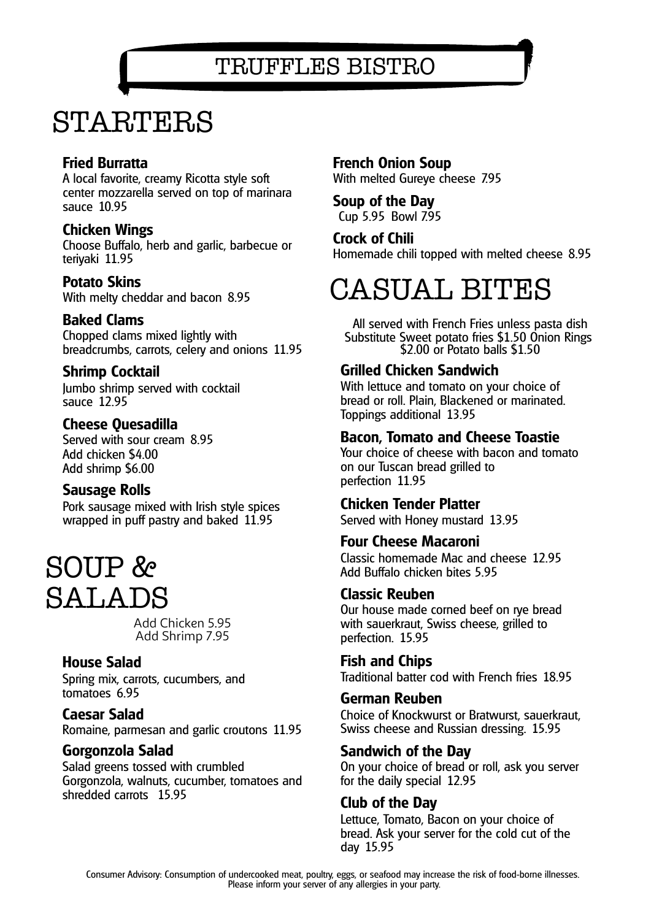TRUFFLES BISTRO

## STARTERS

### **Fried Burratta**

A local favorite, creamy Ricotta style soft center mozzarella served on top of marinara sauce 10.95

### **Chicken Wings**

Choose Buffalo, herb and garlic, barbecue or teriyaki 11.95

### **Potato Skins**

With melty cheddar and bacon 8.95

### **Baked Clams**

Chopped clams mixed lightly with breadcrumbs, carrots, celery and onions 11.95

### **Shrimp Cocktail**

Jumbo shrimp served with cocktail sauce 12.95

### **Cheese Quesadilla**

Served with sour cream 8.95 Add chicken \$4.00 Add shrimp \$6.00

### **Sausage Rolls**

Pork sausage mixed with Irish style spices wrapped in puff pastry and baked 11.95

## SOUP & SALADS

Add Chicken 5.95 Add Shrimp 7.95

### **House Salad**

Spring mix, carrots, cucumbers, and tomatoes 6.95

### **Caesar Salad**

Romaine, parmesan and garlic croutons 11.95

### **Gorgonzola Salad**

Salad greens tossed with crumbled Gorgonzola, walnuts, cucumber, tomatoes and shredded carrots 15.95

**French Onion Soup** With melted Gureye cheese 7.95

#### **Soup of the Day** Cup 5.95 Bowl 7.95

**Crock of Chili** Homemade chili topped with melted cheese 8.95

## CASUAL BITES

All served with French Fries unless pasta dish Substitute Sweet potato fries \$1.50 Onion Rings \$2.00 or Potato balls \$1.50

### **Grilled Chicken Sandwich**

With lettuce and tomato on your choice of bread or roll. Plain, Blackened or marinated. Toppings additional 13.95

### **Bacon, Tomato and Cheese Toastie**

Your choice of cheese with bacon and tomato on our Tuscan bread grilled to perfection 11.95

### **Chicken Tender Platter**

Served with Honey mustard 13.95

### **Four Cheese Macaroni**

Classic homemade Mac and cheese 12.95 Add Buffalo chicken bites 5.95

### **Classic Reuben**

Our house made corned beef on rye bread with sauerkraut, Swiss cheese, grilled to perfection. 15.95

**Fish and Chips** Traditional batter cod with French fries 18.95

### **German Reuben**

Choice of Knockwurst or Bratwurst, sauerkraut, Swiss cheese and Russian dressing. 15.95

### **Sandwich of the Day**

On your choice of bread or roll, ask you server for the daily special 12.95

### **Club of the Day**

Lettuce, Tomato, Bacon on your choice of bread. Ask your server for the cold cut of the day 15.95